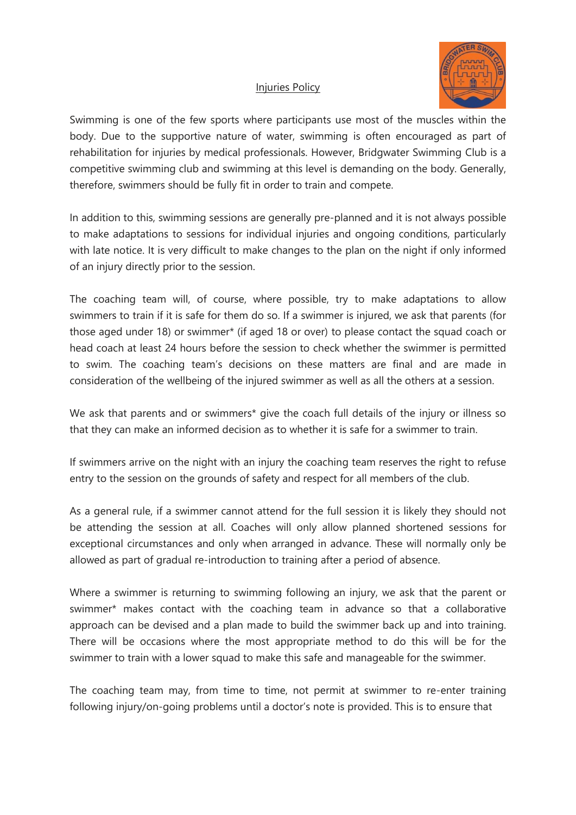

## Injuries Policy

Swimming is one of the few sports where participants use most of the muscles within the body. Due to the supportive nature of water, swimming is often encouraged as part of rehabilitation for injuries by medical professionals. However, Bridgwater Swimming Club is a competitive swimming club and swimming at this level is demanding on the body. Generally, therefore, swimmers should be fully fit in order to train and compete.

In addition to this, swimming sessions are generally pre-planned and it is not always possible to make adaptations to sessions for individual injuries and ongoing conditions, particularly with late notice. It is very difficult to make changes to the plan on the night if only informed of an injury directly prior to the session.

The coaching team will, of course, where possible, try to make adaptations to allow swimmers to train if it is safe for them do so. If a swimmer is injured, we ask that parents (for those aged under 18) or swimmer\* (if aged 18 or over) to please contact the squad coach or head coach at least 24 hours before the session to check whether the swimmer is permitted to swim. The coaching team's decisions on these matters are final and are made in consideration of the wellbeing of the injured swimmer as well as all the others at a session.

We ask that parents and or swimmers\* give the coach full details of the injury or illness so that they can make an informed decision as to whether it is safe for a swimmer to train.

If swimmers arrive on the night with an injury the coaching team reserves the right to refuse entry to the session on the grounds of safety and respect for all members of the club.

As a general rule, if a swimmer cannot attend for the full session it is likely they should not be attending the session at all. Coaches will only allow planned shortened sessions for exceptional circumstances and only when arranged in advance. These will normally only be allowed as part of gradual re-introduction to training after a period of absence.

Where a swimmer is returning to swimming following an injury, we ask that the parent or swimmer\* makes contact with the coaching team in advance so that a collaborative approach can be devised and a plan made to build the swimmer back up and into training. There will be occasions where the most appropriate method to do this will be for the swimmer to train with a lower squad to make this safe and manageable for the swimmer.

The coaching team may, from time to time, not permit at swimmer to re-enter training following injury/on-going problems until a doctor's note is provided. This is to ensure that